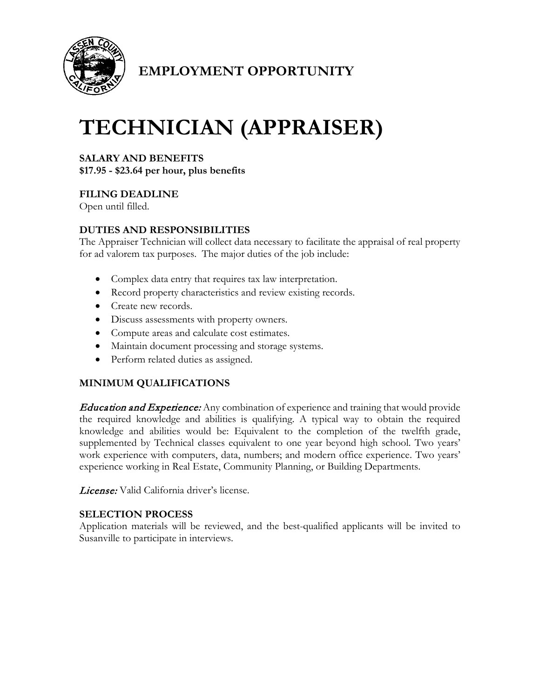

## **EMPLOYMENT OPPORTUNITY**

# **TECHNICIAN (APPRAISER)**

## **SALARY AND BENEFITS**

**\$17.95 - \$23.64 per hour, plus benefits**

#### **FILING DEADLINE**

Open until filled.

#### **DUTIES AND RESPONSIBILITIES**

The Appraiser Technician will collect data necessary to facilitate the appraisal of real property for ad valorem tax purposes. The major duties of the job include:

- Complex data entry that requires tax law interpretation.
- Record property characteristics and review existing records.
- Create new records.
- Discuss assessments with property owners.
- Compute areas and calculate cost estimates.
- Maintain document processing and storage systems.
- Perform related duties as assigned.

#### **MINIMUM QUALIFICATIONS**

**Education and Experience:** Any combination of experience and training that would provide the required knowledge and abilities is qualifying. A typical way to obtain the required knowledge and abilities would be: Equivalent to the completion of the twelfth grade, supplemented by Technical classes equivalent to one year beyond high school. Two years' work experience with computers, data, numbers; and modern office experience. Two years' experience working in Real Estate, Community Planning, or Building Departments.

License: Valid California driver's license.

#### **SELECTION PROCESS**

Application materials will be reviewed, and the best-qualified applicants will be invited to Susanville to participate in interviews.